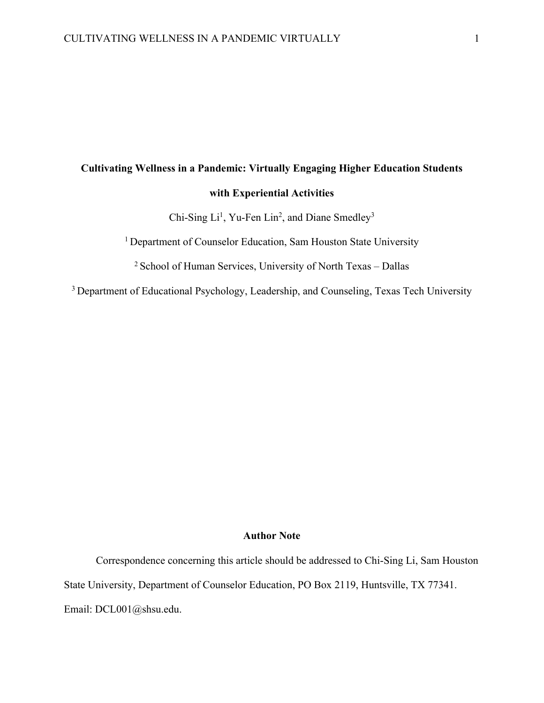# **Cultivating Wellness in a Pandemic: Virtually Engaging Higher Education Students with Experiential Activities**

Chi-Sing  $Li<sup>1</sup>$ , Yu-Fen Lin<sup>2</sup>, and Diane Smedley<sup>3</sup>

<sup>1</sup> Department of Counselor Education, Sam Houston State University

<sup>2</sup> School of Human Services, University of North Texas – Dallas

<sup>3</sup> Department of Educational Psychology, Leadership, and Counseling, Texas Tech University

### **Author Note**

Correspondence concerning this article should be addressed to Chi-Sing Li, Sam Houston State University, Department of Counselor Education, PO Box 2119, Huntsville, TX 77341. Email: DCL001@shsu.edu.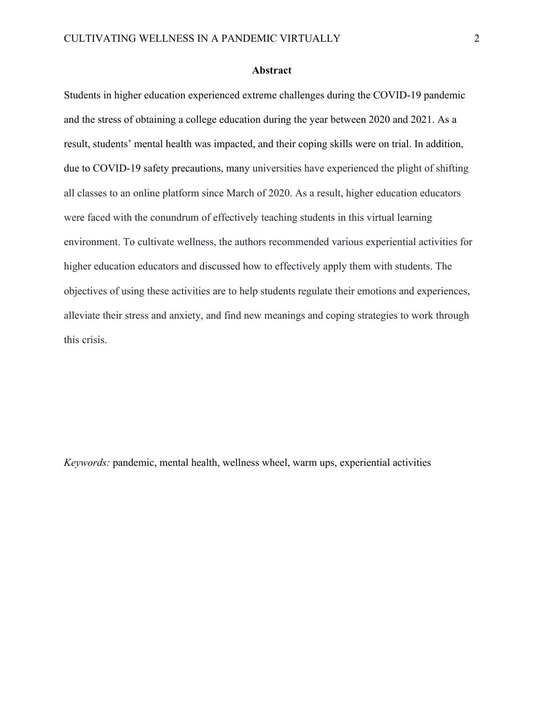## **Abstract**

Students in higher education experienced extreme challenges during the COVID-19 pandemic and the stress of obtaining a college education during the year between 2020 and 2021. As a result, students' mental health was impacted, and their coping skills were on trial. In addition, due to COVID-19 safety precautions, many universities have experienced the plight of shifting all classes to an online platform since March of 2020. As a result, higher education educators were faced with the conundrum of effectively teaching students in this virtual learning environment. To cultivate wellness, the authors recommended various experiential activities for higher education educators and discussed how to effectively apply them with students. The objectives of using these activities are to help students regulate their emotions and experiences, alleviate their stress and anxiety, and find new meanings and coping strategies to work through this crisis.

*Keywords:* pandemic, mental health, wellness wheel, warm ups, experiential activities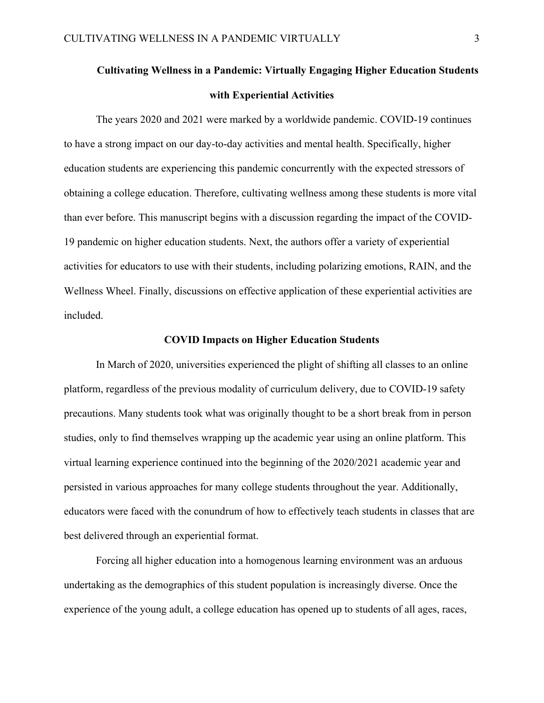# **Cultivating Wellness in a Pandemic: Virtually Engaging Higher Education Students with Experiential Activities**

The years 2020 and 2021 were marked by a worldwide pandemic. COVID-19 continues to have a strong impact on our day-to-day activities and mental health. Specifically, higher education students are experiencing this pandemic concurrently with the expected stressors of obtaining a college education. Therefore, cultivating wellness among these students is more vital than ever before. This manuscript begins with a discussion regarding the impact of the COVID-19 pandemic on higher education students. Next, the authors offer a variety of experiential activities for educators to use with their students, including polarizing emotions, RAIN, and the Wellness Wheel. Finally, discussions on effective application of these experiential activities are included.

### **COVID Impacts on Higher Education Students**

In March of 2020, universities experienced the plight of shifting all classes to an online platform, regardless of the previous modality of curriculum delivery, due to COVID-19 safety precautions. Many students took what was originally thought to be a short break from in person studies, only to find themselves wrapping up the academic year using an online platform. This virtual learning experience continued into the beginning of the 2020/2021 academic year and persisted in various approaches for many college students throughout the year. Additionally, educators were faced with the conundrum of how to effectively teach students in classes that are best delivered through an experiential format.

Forcing all higher education into a homogenous learning environment was an arduous undertaking as the demographics of this student population is increasingly diverse. Once the experience of the young adult, a college education has opened up to students of all ages, races,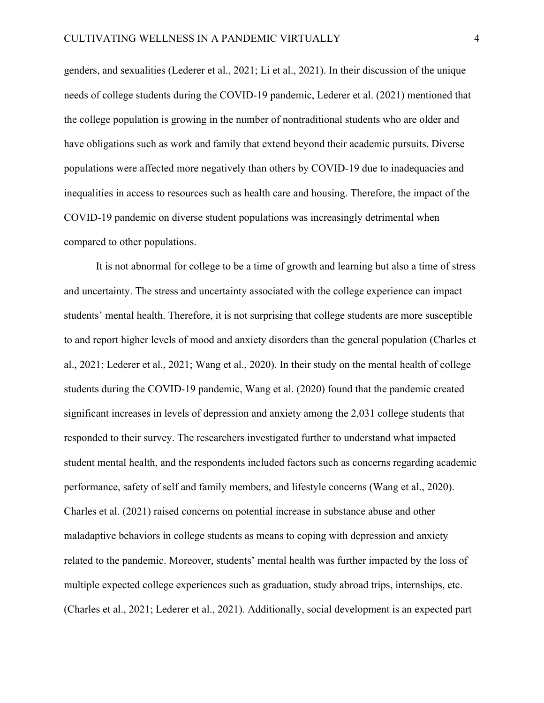genders, and sexualities (Lederer et al., 2021; Li et al., 2021). In their discussion of the unique needs of college students during the COVID-19 pandemic, Lederer et al. (2021) mentioned that the college population is growing in the number of nontraditional students who are older and have obligations such as work and family that extend beyond their academic pursuits. Diverse populations were affected more negatively than others by COVID-19 due to inadequacies and inequalities in access to resources such as health care and housing. Therefore, the impact of the COVID-19 pandemic on diverse student populations was increasingly detrimental when compared to other populations.

It is not abnormal for college to be a time of growth and learning but also a time of stress and uncertainty. The stress and uncertainty associated with the college experience can impact students' mental health. Therefore, it is not surprising that college students are more susceptible to and report higher levels of mood and anxiety disorders than the general population (Charles et al., 2021; Lederer et al., 2021; Wang et al., 2020). In their study on the mental health of college students during the COVID-19 pandemic, Wang et al. (2020) found that the pandemic created significant increases in levels of depression and anxiety among the 2,031 college students that responded to their survey. The researchers investigated further to understand what impacted student mental health, and the respondents included factors such as concerns regarding academic performance, safety of self and family members, and lifestyle concerns (Wang et al., 2020). Charles et al. (2021) raised concerns on potential increase in substance abuse and other maladaptive behaviors in college students as means to coping with depression and anxiety related to the pandemic. Moreover, students' mental health was further impacted by the loss of multiple expected college experiences such as graduation, study abroad trips, internships, etc. (Charles et al., 2021; Lederer et al., 2021). Additionally, social development is an expected part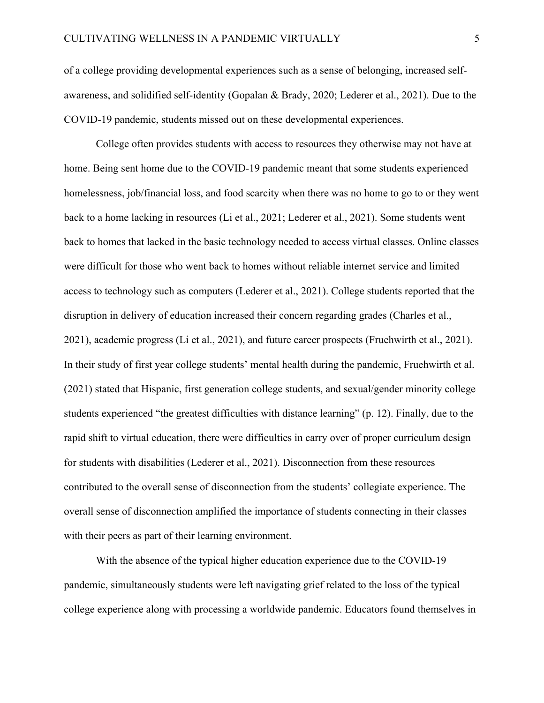of a college providing developmental experiences such as a sense of belonging, increased selfawareness, and solidified self-identity (Gopalan & Brady, 2020; Lederer et al., 2021). Due to the COVID-19 pandemic, students missed out on these developmental experiences.

College often provides students with access to resources they otherwise may not have at home. Being sent home due to the COVID-19 pandemic meant that some students experienced homelessness, job/financial loss, and food scarcity when there was no home to go to or they went back to a home lacking in resources (Li et al., 2021; Lederer et al., 2021). Some students went back to homes that lacked in the basic technology needed to access virtual classes. Online classes were difficult for those who went back to homes without reliable internet service and limited access to technology such as computers (Lederer et al., 2021). College students reported that the disruption in delivery of education increased their concern regarding grades (Charles et al., 2021), academic progress (Li et al., 2021), and future career prospects (Fruehwirth et al., 2021). In their study of first year college students' mental health during the pandemic, Fruehwirth et al. (2021) stated that Hispanic, first generation college students, and sexual/gender minority college students experienced "the greatest difficulties with distance learning" (p. 12). Finally, due to the rapid shift to virtual education, there were difficulties in carry over of proper curriculum design for students with disabilities (Lederer et al., 2021). Disconnection from these resources contributed to the overall sense of disconnection from the students' collegiate experience. The overall sense of disconnection amplified the importance of students connecting in their classes with their peers as part of their learning environment.

With the absence of the typical higher education experience due to the COVID-19 pandemic, simultaneously students were left navigating grief related to the loss of the typical college experience along with processing a worldwide pandemic. Educators found themselves in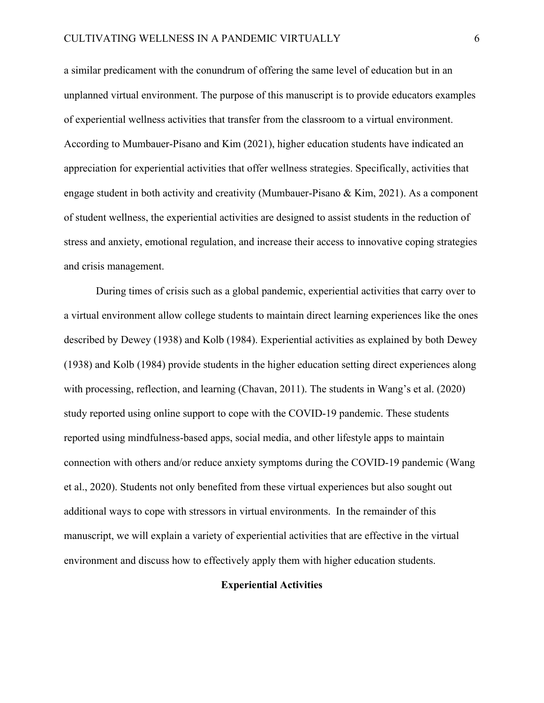a similar predicament with the conundrum of offering the same level of education but in an unplanned virtual environment. The purpose of this manuscript is to provide educators examples of experiential wellness activities that transfer from the classroom to a virtual environment. According to Mumbauer-Pisano and Kim (2021), higher education students have indicated an appreciation for experiential activities that offer wellness strategies. Specifically, activities that engage student in both activity and creativity (Mumbauer-Pisano & Kim, 2021). As a component of student wellness, the experiential activities are designed to assist students in the reduction of stress and anxiety, emotional regulation, and increase their access to innovative coping strategies and crisis management.

During times of crisis such as a global pandemic, experiential activities that carry over to a virtual environment allow college students to maintain direct learning experiences like the ones described by Dewey (1938) and Kolb (1984). Experiential activities as explained by both Dewey (1938) and Kolb (1984) provide students in the higher education setting direct experiences along with processing, reflection, and learning (Chavan, 2011). The students in Wang's et al. (2020) study reported using online support to cope with the COVID-19 pandemic. These students reported using mindfulness-based apps, social media, and other lifestyle apps to maintain connection with others and/or reduce anxiety symptoms during the COVID-19 pandemic (Wang et al., 2020). Students not only benefited from these virtual experiences but also sought out additional ways to cope with stressors in virtual environments. In the remainder of this manuscript, we will explain a variety of experiential activities that are effective in the virtual environment and discuss how to effectively apply them with higher education students.

# **Experiential Activities**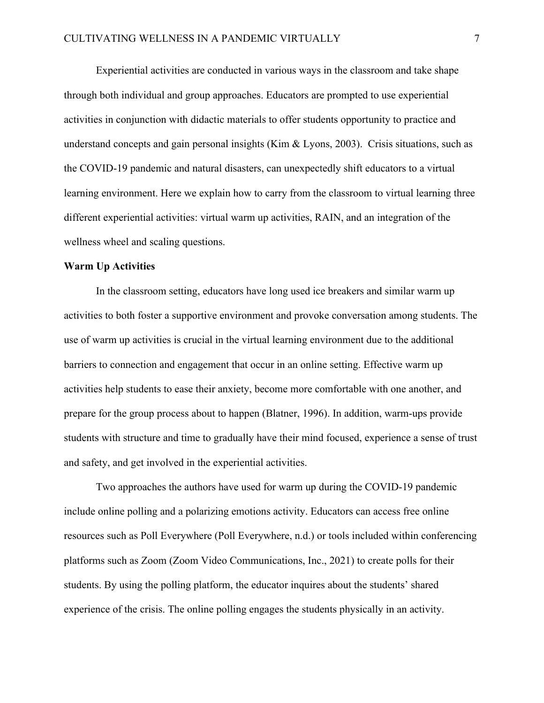Experiential activities are conducted in various ways in the classroom and take shape through both individual and group approaches. Educators are prompted to use experiential activities in conjunction with didactic materials to offer students opportunity to practice and understand concepts and gain personal insights (Kim & Lyons, 2003). Crisis situations, such as the COVID-19 pandemic and natural disasters, can unexpectedly shift educators to a virtual learning environment. Here we explain how to carry from the classroom to virtual learning three different experiential activities: virtual warm up activities, RAIN, and an integration of the wellness wheel and scaling questions.

## **Warm Up Activities**

In the classroom setting, educators have long used ice breakers and similar warm up activities to both foster a supportive environment and provoke conversation among students. The use of warm up activities is crucial in the virtual learning environment due to the additional barriers to connection and engagement that occur in an online setting. Effective warm up activities help students to ease their anxiety, become more comfortable with one another, and prepare for the group process about to happen (Blatner, 1996). In addition, warm-ups provide students with structure and time to gradually have their mind focused, experience a sense of trust and safety, and get involved in the experiential activities.

Two approaches the authors have used for warm up during the COVID-19 pandemic include online polling and a polarizing emotions activity. Educators can access free online resources such as Poll Everywhere (Poll Everywhere, n.d.) or tools included within conferencing platforms such as Zoom (Zoom Video Communications, Inc., 2021) to create polls for their students. By using the polling platform, the educator inquires about the students' shared experience of the crisis. The online polling engages the students physically in an activity.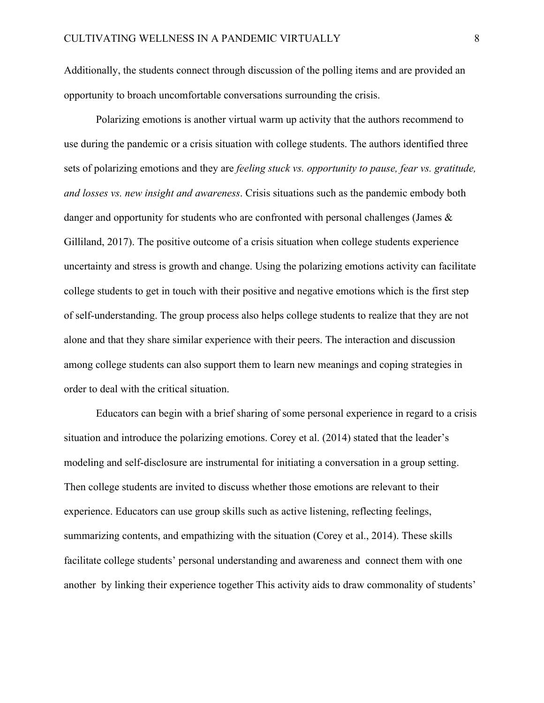Additionally, the students connect through discussion of the polling items and are provided an opportunity to broach uncomfortable conversations surrounding the crisis.

Polarizing emotions is another virtual warm up activity that the authors recommend to use during the pandemic or a crisis situation with college students. The authors identified three sets of polarizing emotions and they are *feeling stuck vs. opportunity to pause, fear vs. gratitude, and losses vs. new insight and awareness*. Crisis situations such as the pandemic embody both danger and opportunity for students who are confronted with personal challenges (James & Gilliland, 2017). The positive outcome of a crisis situation when college students experience uncertainty and stress is growth and change. Using the polarizing emotions activity can facilitate college students to get in touch with their positive and negative emotions which is the first step of self-understanding. The group process also helps college students to realize that they are not alone and that they share similar experience with their peers. The interaction and discussion among college students can also support them to learn new meanings and coping strategies in order to deal with the critical situation.

Educators can begin with a brief sharing of some personal experience in regard to a crisis situation and introduce the polarizing emotions. Corey et al. (2014) stated that the leader's modeling and self-disclosure are instrumental for initiating a conversation in a group setting. Then college students are invited to discuss whether those emotions are relevant to their experience. Educators can use group skills such as active listening, reflecting feelings, summarizing contents, and empathizing with the situation (Corey et al., 2014). These skills facilitate college students' personal understanding and awareness and connect them with one another by linking their experience together This activity aids to draw commonality of students'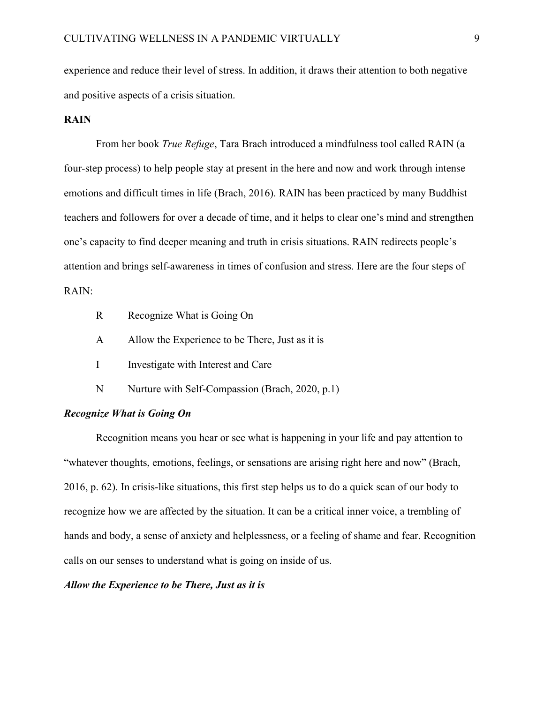experience and reduce their level of stress. In addition, it draws their attention to both negative and positive aspects of a crisis situation.

# **RAIN**

From her book *True Refuge*, Tara Brach introduced a mindfulness tool called RAIN (a four-step process) to help people stay at present in the here and now and work through intense emotions and difficult times in life (Brach, 2016). RAIN has been practiced by many Buddhist teachers and followers for over a decade of time, and it helps to clear one's mind and strengthen one's capacity to find deeper meaning and truth in crisis situations. RAIN redirects people's attention and brings self-awareness in times of confusion and stress. Here are the four steps of RAIN:

- R Recognize What is Going On
- A Allow the Experience to be There, Just as it is
- I Investigate with Interest and Care
- N Nurture with Self-Compassion (Brach, 2020, p.1)

#### *Recognize What is Going On*

Recognition means you hear or see what is happening in your life and pay attention to "whatever thoughts, emotions, feelings, or sensations are arising right here and now" (Brach, 2016, p. 62). In crisis-like situations, this first step helps us to do a quick scan of our body to recognize how we are affected by the situation. It can be a critical inner voice, a trembling of hands and body, a sense of anxiety and helplessness, or a feeling of shame and fear. Recognition calls on our senses to understand what is going on inside of us.

# *Allow the Experience to be There, Just as it is*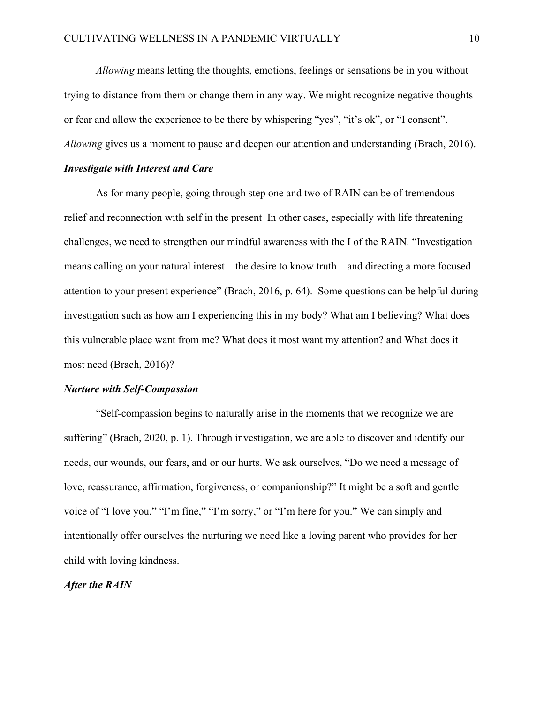*Allowing* means letting the thoughts, emotions, feelings or sensations be in you without trying to distance from them or change them in any way. We might recognize negative thoughts or fear and allow the experience to be there by whispering "yes", "it's ok", or "I consent". *Allowing* gives us a moment to pause and deepen our attention and understanding (Brach, 2016).

#### *Investigate with Interest and Care*

As for many people, going through step one and two of RAIN can be of tremendous relief and reconnection with self in the present In other cases, especially with life threatening challenges, we need to strengthen our mindful awareness with the I of the RAIN. "Investigation means calling on your natural interest – the desire to know truth – and directing a more focused attention to your present experience" (Brach, 2016, p. 64). Some questions can be helpful during investigation such as how am I experiencing this in my body? What am I believing? What does this vulnerable place want from me? What does it most want my attention? and What does it most need (Brach, 2016)?

## *Nurture with Self-Compassion*

"Self-compassion begins to naturally arise in the moments that we recognize we are suffering" (Brach, 2020, p. 1). Through investigation, we are able to discover and identify our needs, our wounds, our fears, and or our hurts. We ask ourselves, "Do we need a message of love, reassurance, affirmation, forgiveness, or companionship?" It might be a soft and gentle voice of "I love you," "I'm fine," "I'm sorry," or "I'm here for you." We can simply and intentionally offer ourselves the nurturing we need like a loving parent who provides for her child with loving kindness.

# *After the RAIN*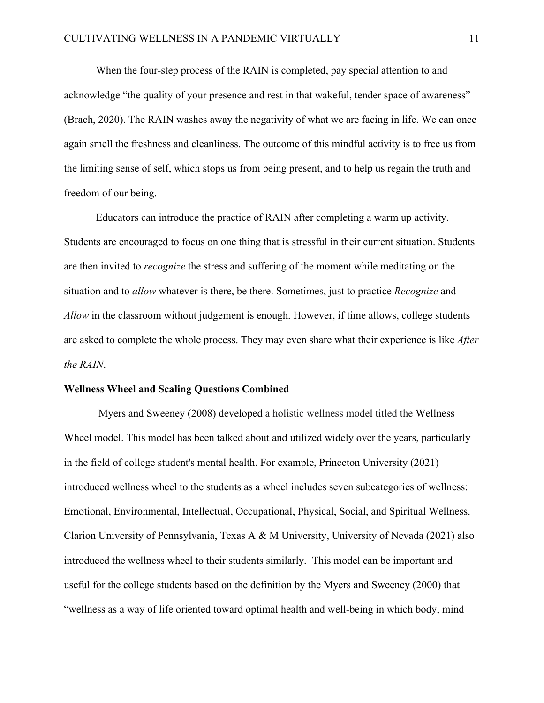When the four-step process of the RAIN is completed, pay special attention to and acknowledge "the quality of your presence and rest in that wakeful, tender space of awareness" (Brach, 2020). The RAIN washes away the negativity of what we are facing in life. We can once again smell the freshness and cleanliness. The outcome of this mindful activity is to free us from the limiting sense of self, which stops us from being present, and to help us regain the truth and freedom of our being.

Educators can introduce the practice of RAIN after completing a warm up activity. Students are encouraged to focus on one thing that is stressful in their current situation. Students are then invited to *recognize* the stress and suffering of the moment while meditating on the situation and to *allow* whatever is there, be there. Sometimes, just to practice *Recognize* and *Allow* in the classroom without judgement is enough. However, if time allows, college students are asked to complete the whole process. They may even share what their experience is like *After the RAIN*.

## **Wellness Wheel and Scaling Questions Combined**

Myers and Sweeney (2008) developed a holistic wellness model titled the Wellness Wheel model. This model has been talked about and utilized widely over the years, particularly in the field of college student's mental health. For example, Princeton University (2021) introduced wellness wheel to the students as a wheel includes seven subcategories of wellness: Emotional, Environmental, Intellectual, Occupational, Physical, Social, and Spiritual Wellness. Clarion University of Pennsylvania, Texas A & M University, University of Nevada (2021) also introduced the wellness wheel to their students similarly. This model can be important and useful for the college students based on the definition by the Myers and Sweeney (2000) that "wellness as a way of life oriented toward optimal health and well-being in which body, mind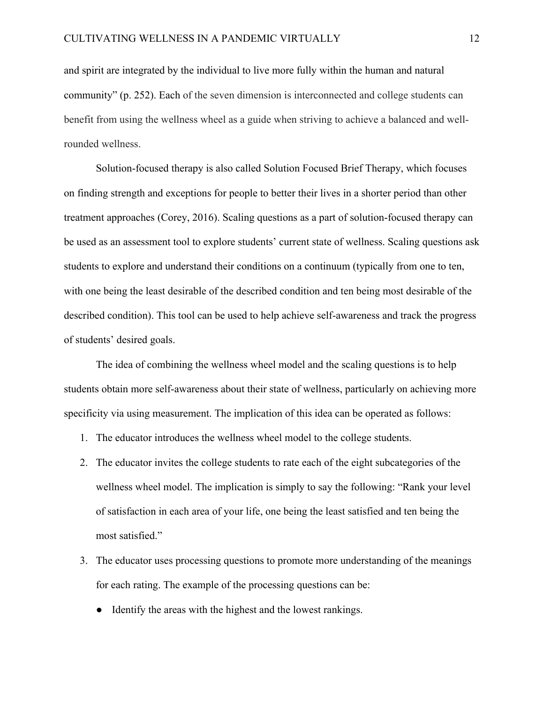and spirit are integrated by the individual to live more fully within the human and natural community" (p. 252). Each of the seven dimension is interconnected and college students can benefit from using the wellness wheel as a guide when striving to achieve a balanced and wellrounded wellness.

Solution-focused therapy is also called Solution Focused Brief Therapy, which focuses on finding strength and exceptions for people to better their lives in a shorter period than other treatment approaches (Corey, 2016). Scaling questions as a part of solution-focused therapy can be used as an assessment tool to explore students' current state of wellness. Scaling questions ask students to explore and understand their conditions on a continuum (typically from one to ten, with one being the least desirable of the described condition and ten being most desirable of the described condition). This tool can be used to help achieve self-awareness and track the progress of students' desired goals.

The idea of combining the wellness wheel model and the scaling questions is to help students obtain more self-awareness about their state of wellness, particularly on achieving more specificity via using measurement. The implication of this idea can be operated as follows:

- 1. The educator introduces the wellness wheel model to the college students.
- 2. The educator invites the college students to rate each of the eight subcategories of the wellness wheel model. The implication is simply to say the following: "Rank your level of satisfaction in each area of your life, one being the least satisfied and ten being the most satisfied."
- 3. The educator uses processing questions to promote more understanding of the meanings for each rating. The example of the processing questions can be:
	- Identify the areas with the highest and the lowest rankings.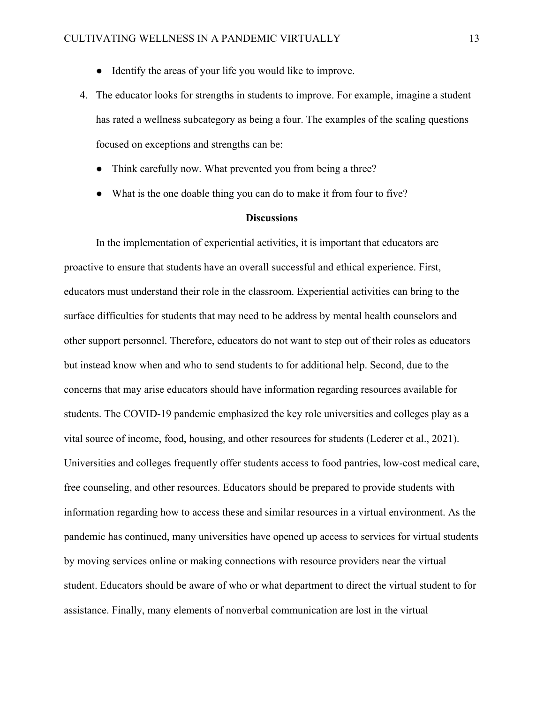- Identify the areas of your life you would like to improve.
- 4. The educator looks for strengths in students to improve. For example, imagine a student has rated a wellness subcategory as being a four. The examples of the scaling questions focused on exceptions and strengths can be:
	- Think carefully now. What prevented you from being a three?
	- What is the one doable thing you can do to make it from four to five?

#### **Discussions**

In the implementation of experiential activities, it is important that educators are proactive to ensure that students have an overall successful and ethical experience. First, educators must understand their role in the classroom. Experiential activities can bring to the surface difficulties for students that may need to be address by mental health counselors and other support personnel. Therefore, educators do not want to step out of their roles as educators but instead know when and who to send students to for additional help. Second, due to the concerns that may arise educators should have information regarding resources available for students. The COVID-19 pandemic emphasized the key role universities and colleges play as a vital source of income, food, housing, and other resources for students (Lederer et al., 2021). Universities and colleges frequently offer students access to food pantries, low-cost medical care, free counseling, and other resources. Educators should be prepared to provide students with information regarding how to access these and similar resources in a virtual environment. As the pandemic has continued, many universities have opened up access to services for virtual students by moving services online or making connections with resource providers near the virtual student. Educators should be aware of who or what department to direct the virtual student to for assistance. Finally, many elements of nonverbal communication are lost in the virtual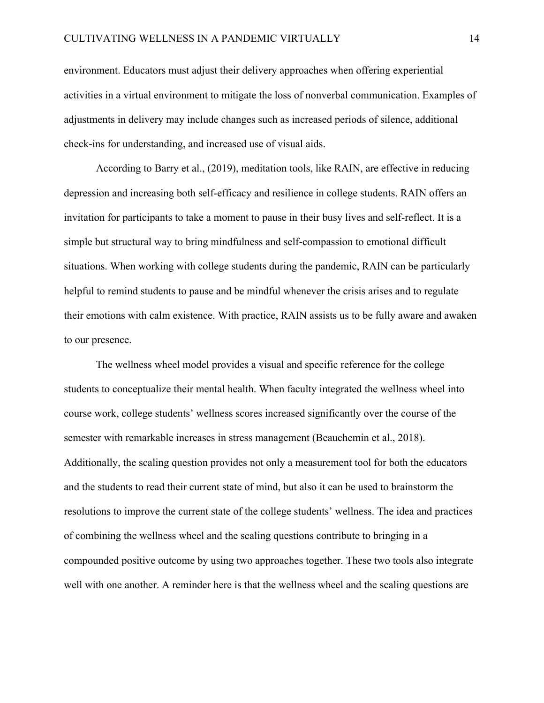environment. Educators must adjust their delivery approaches when offering experiential activities in a virtual environment to mitigate the loss of nonverbal communication. Examples of adjustments in delivery may include changes such as increased periods of silence, additional check-ins for understanding, and increased use of visual aids.

According to Barry et al., (2019), meditation tools, like RAIN, are effective in reducing depression and increasing both self-efficacy and resilience in college students. RAIN offers an invitation for participants to take a moment to pause in their busy lives and self-reflect. It is a simple but structural way to bring mindfulness and self-compassion to emotional difficult situations. When working with college students during the pandemic, RAIN can be particularly helpful to remind students to pause and be mindful whenever the crisis arises and to regulate their emotions with calm existence. With practice, RAIN assists us to be fully aware and awaken to our presence.

The wellness wheel model provides a visual and specific reference for the college students to conceptualize their mental health. When faculty integrated the wellness wheel into course work, college students' wellness scores increased significantly over the course of the semester with remarkable increases in stress management (Beauchemin et al., 2018). Additionally, the scaling question provides not only a measurement tool for both the educators and the students to read their current state of mind, but also it can be used to brainstorm the resolutions to improve the current state of the college students' wellness. The idea and practices of combining the wellness wheel and the scaling questions contribute to bringing in a compounded positive outcome by using two approaches together. These two tools also integrate well with one another. A reminder here is that the wellness wheel and the scaling questions are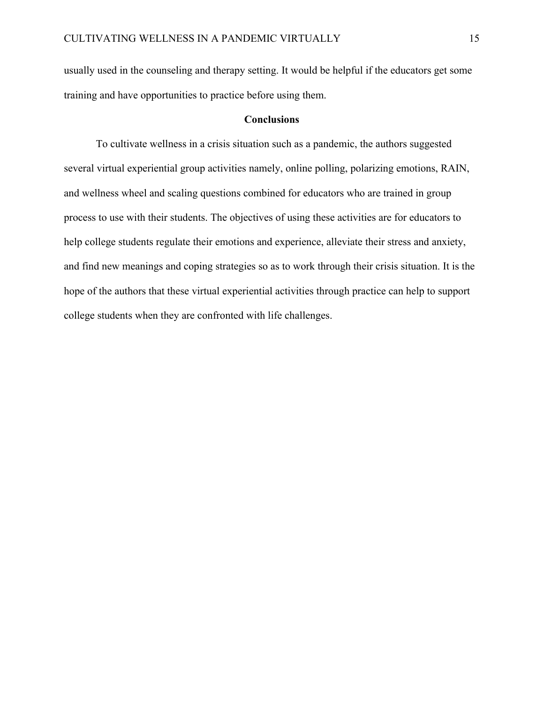usually used in the counseling and therapy setting. It would be helpful if the educators get some training and have opportunities to practice before using them.

## **Conclusions**

To cultivate wellness in a crisis situation such as a pandemic, the authors suggested several virtual experiential group activities namely, online polling, polarizing emotions, RAIN, and wellness wheel and scaling questions combined for educators who are trained in group process to use with their students. The objectives of using these activities are for educators to help college students regulate their emotions and experience, alleviate their stress and anxiety, and find new meanings and coping strategies so as to work through their crisis situation. It is the hope of the authors that these virtual experiential activities through practice can help to support college students when they are confronted with life challenges.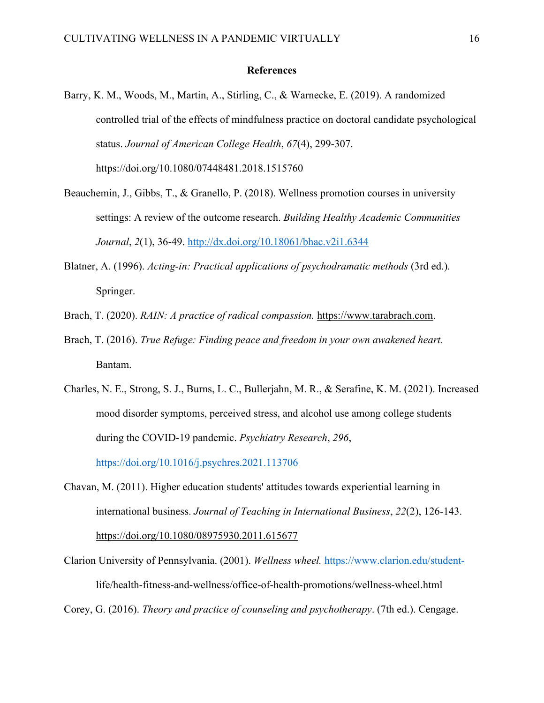## **References**

- Barry, K. M., Woods, M., Martin, A., Stirling, C., & Warnecke, E. (2019). A randomized controlled trial of the effects of mindfulness practice on doctoral candidate psychological status. *Journal of American College Health*, *67*(4), 299-307. https://doi.org/10.1080/07448481.2018.1515760
- Beauchemin, J., Gibbs, T., & Granello, P. (2018). Wellness promotion courses in university settings: A review of the outcome research. *Building Healthy Academic Communities Journal*, *2*(1), 36-49. http://dx.doi.org/10.18061/bhac.v2i1.6344
- Blatner, A. (1996). *Acting-in: Practical applications of psychodramatic methods* (3rd ed.). Springer.
- Brach, T. (2020). *RAIN: A practice of radical compassion.* https://www.tarabrach.com.
- Brach, T. (2016). *True Refuge: Finding peace and freedom in your own awakened heart.*  Bantam.
- Charles, N. E., Strong, S. J., Burns, L. C., Bullerjahn, M. R., & Serafine, K. M. (2021). Increased mood disorder symptoms, perceived stress, and alcohol use among college students during the COVID-19 pandemic. *Psychiatry Research*, *296*, https://doi.org/10.1016/j.psychres.2021.113706
- Chavan, M. (2011). Higher education students' attitudes towards experiential learning in international business. *Journal of Teaching in International Business*, *22*(2), 126-143. https://doi.org/10.1080/08975930.2011.615677
- Clarion University of Pennsylvania. (2001). *Wellness wheel.* https://www.clarion.edu/studentlife/health-fitness-and-wellness/office-of-health-promotions/wellness-wheel.html

Corey, G. (2016). *Theory and practice of counseling and psychotherapy*. (7th ed.). Cengage.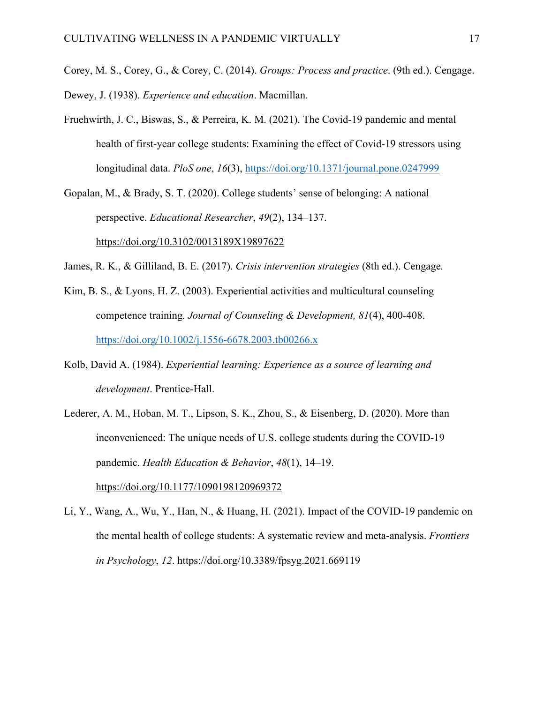Corey, M. S., Corey, G., & Corey, C. (2014). *Groups: Process and practice*. (9th ed.). Cengage. Dewey, J. (1938). *Experience and education*. Macmillan.

- Fruehwirth, J. C., Biswas, S., & Perreira, K. M. (2021). The Covid-19 pandemic and mental health of first-year college students: Examining the effect of Covid-19 stressors using longitudinal data. *PloS one*, *16*(3), https://doi.org/10.1371/journal.pone.0247999
- Gopalan, M., & Brady, S. T. (2020). College students' sense of belonging: A national perspective. *Educational Researcher*, *49*(2), 134–137.

https://doi.org/10.3102/0013189X19897622

- James, R. K., & Gilliland, B. E. (2017). *Crisis intervention strategies* (8th ed.). Cengage*.*
- Kim, B. S., & Lyons, H. Z. (2003). Experiential activities and multicultural counseling competence training*. Journal of Counseling & Development, 81*(4), 400-408. https://doi.org/10.1002/j.1556-6678.2003.tb00266.x
- Kolb, David A. (1984). *Experiential learning: Experience as a source of learning and development*. Prentice-Hall.
- Lederer, A. M., Hoban, M. T., Lipson, S. K., Zhou, S., & Eisenberg, D. (2020). More than inconvenienced: The unique needs of U.S. college students during the COVID-19 pandemic. *Health Education & Behavior*, *48*(1), 14–19. https://doi.org/10.1177/1090198120969372
- Li, Y., Wang, A., Wu, Y., Han, N., & Huang, H. (2021). Impact of the COVID-19 pandemic on the mental health of college students: A systematic review and meta-analysis. *Frontiers in Psychology*, *12*. https://doi.org/10.3389/fpsyg.2021.669119